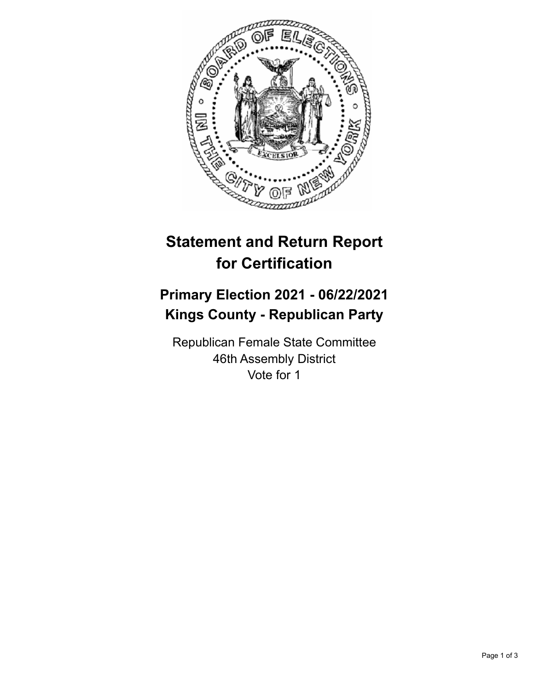

## **Statement and Return Report for Certification**

## **Primary Election 2021 - 06/22/2021 Kings County - Republican Party**

Republican Female State Committee 46th Assembly District Vote for 1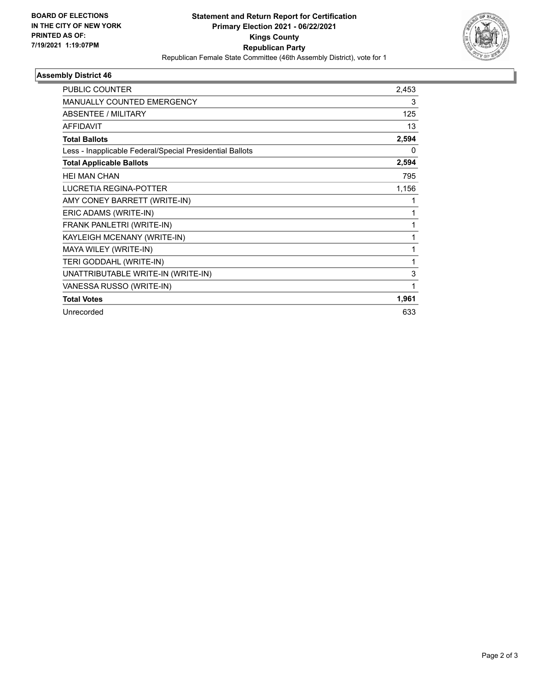

## **Assembly District 46**

| <b>PUBLIC COUNTER</b>                                    | 2,453 |
|----------------------------------------------------------|-------|
| <b>MANUALLY COUNTED EMERGENCY</b>                        | 3     |
| <b>ABSENTEE / MILITARY</b>                               | 125   |
| <b>AFFIDAVIT</b>                                         | 13    |
| <b>Total Ballots</b>                                     | 2,594 |
| Less - Inapplicable Federal/Special Presidential Ballots | 0     |
| <b>Total Applicable Ballots</b>                          | 2,594 |
| <b>HEI MAN CHAN</b>                                      | 795   |
| <b>LUCRETIA REGINA-POTTER</b>                            | 1,156 |
| AMY CONEY BARRETT (WRITE-IN)                             | 1     |
| ERIC ADAMS (WRITE-IN)                                    | 1     |
| FRANK PANLETRI (WRITE-IN)                                | 1     |
| KAYLEIGH MCENANY (WRITE-IN)                              | 1     |
| MAYA WILEY (WRITE-IN)                                    | 1     |
| TERI GODDAHL (WRITE-IN)                                  | 1     |
| UNATTRIBUTABLE WRITE-IN (WRITE-IN)                       | 3     |
| VANESSA RUSSO (WRITE-IN)                                 | 1     |
| <b>Total Votes</b>                                       | 1,961 |
| Unrecorded                                               | 633   |